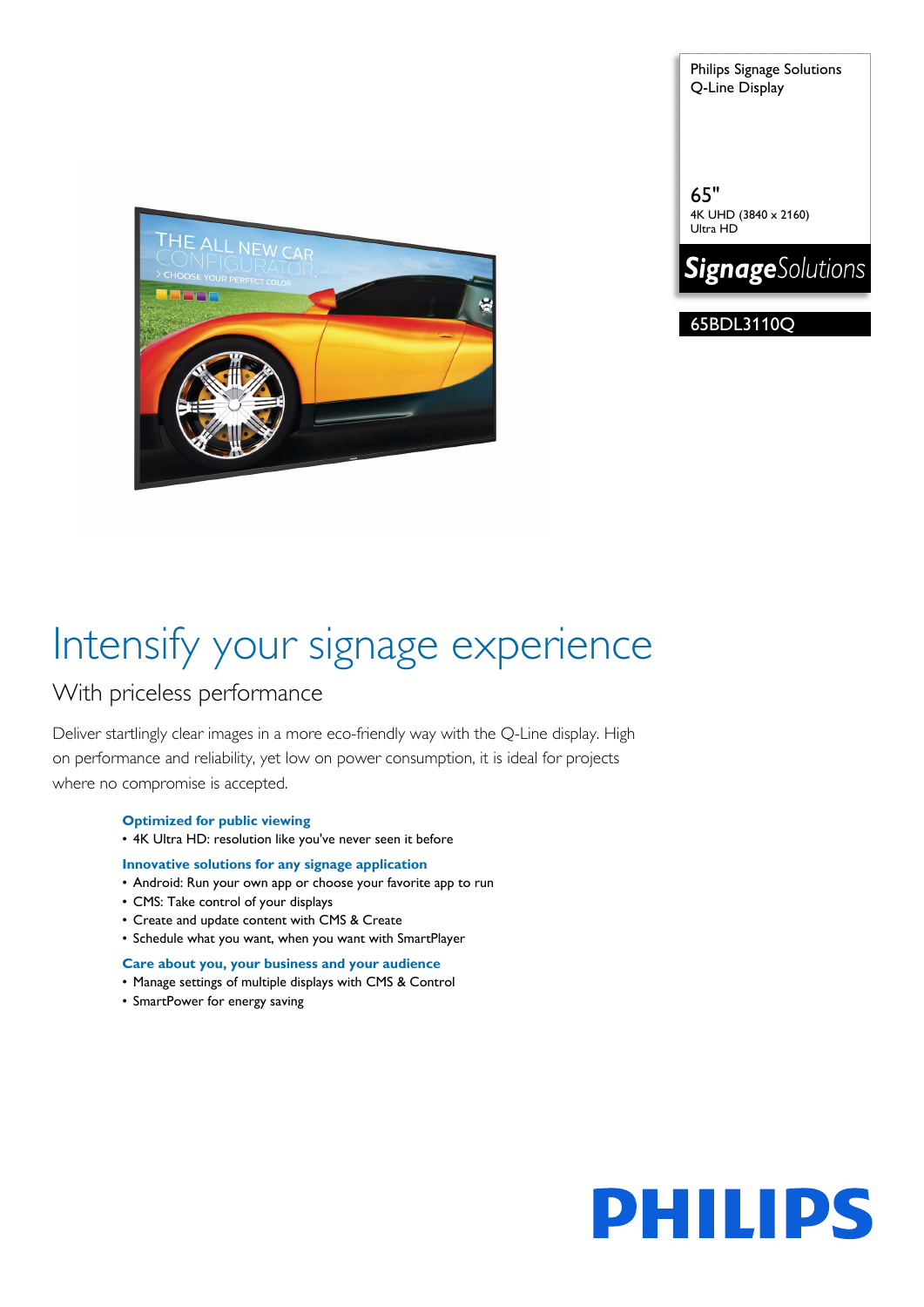

Philips Signage Solutions Q-Line Display

65" 4K UHD (3840 x 2160) Ultra HD



65BDL3110Q

# Intensify your signage experience

### With priceless performance

Deliver startlingly clear images in a more eco-friendly way with the Q-Line display. High on performance and reliability, yet low on power consumption, it is ideal for projects where no compromise is accepted.

#### **Optimized for public viewing**

• 4K Ultra HD: resolution like you've never seen it before

#### **Innovative solutions for any signage application**

- Android: Run your own app or choose your favorite app to run
- CMS: Take control of your displays
- Create and update content with CMS & Create
- Schedule what you want, when you want with SmartPlayer

#### **Care about you, your business and your audience**

- Manage settings of multiple displays with CMS & Control
- SmartPower for energy saving